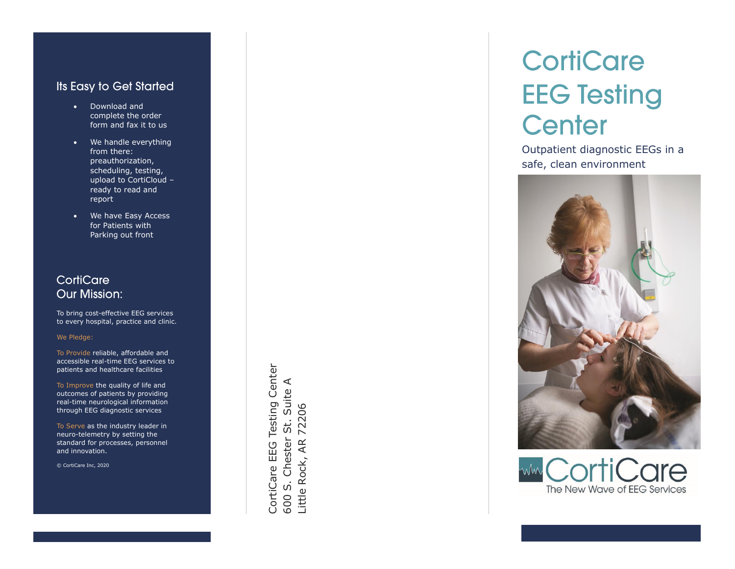#### **Its Easy to Get Started**

- Download and complete the order form and fax it to us
- We handle everything from there: preauthorization, scheduling, testing, upload to CortiCloud – ready to read and report
- We have Easy Access for Patients with Parking out front

### CortiCare **Our Mission:**

To bring cost -effective EEG services to every hospital, practice and clinic.

We Pledge :

To Provide reliable, affordable and accessible real -time EEG services to patients and healthcare facilities

To Improve the quality of life and outcomes of patients by providing real -time neurological information through EEG diagnostic services

To Serve as the industry leader in neuro -telemetry by setting the standard for processes, personnel and innovation.

© CortiCare Inc, 2020

CortiCare EEG Testing Center CortiCare EEG Testing Center 600 S. Chester St. Suite A 500 S. Chester St. Suite A Little Rock, AR 72206 Little Rock, AR 72206

# **CortiCare EEG Testing** Center

Outpatient diagnostic EEGs in a safe, clean environment